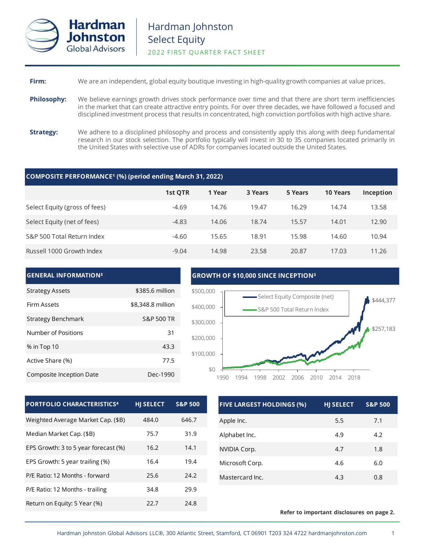

# **Firm:** We are an independent, global equity boutique investing in high-quality growth companies at value prices.

- **Philosophy:** We believe earnings growth drives stock performance over time and that there are short term inefficiencies in the market that can create attractive entry points. For over three decades, we have followed a focused and disciplined investment process that results in concentrated, high conviction portfolios with high active share.
- **Strategy:** We adhere to a disciplined philosophy and process and consistently apply this along with deep fundamental research in our stock selection. The portfolio typically will invest in 30 to 35 companies located primarily in the United States with selective use of ADRs for companies located outside the United States.

## **COMPOSITE PERFORMANCE¹ (%) (period ending March 31, 2022)**

|                               | 1st QTR | 1 Year | 3 Years | 5 Years | <b>10 Years</b> | Inception |
|-------------------------------|---------|--------|---------|---------|-----------------|-----------|
| Select Equity (gross of fees) | $-4.69$ | 14.76  | 19.47   | 16.29   | 14.74           | 13.58     |
| Select Equity (net of fees)   | $-4.83$ | 14.06  | 18.74   | 15.57   | 14.01           | 12.90     |
| S&P 500 Total Return Index    | $-4.60$ | 15.65  | 18.91   | 15.98   | 14.60           | 10.94     |
| Russell 1000 Growth Index     | $-9.04$ | 14.98  | 23.58   | 20.87   | 17.03           | 11.26     |

### **GENERAL INFORMATION²** Strategy Assets \$385.6 million Firm Assets **\$8,348.8 million** Strategy Benchmark Strategy Benchmark Number of Positions 31 % in Top 10 43.3 Active Share (%) 27.5 Composite Inception Date Dec-1990 **GROWTH OF \$10,000 SINCE INCEPTION³** \$444,377 \$257,183 \$0 \$100,000 \$200,000 \$300,000 \$400,000 \$500,000 1990 1994 1998 2002 2006 2010 2014 2018 Select Equity Composite (net) S&P 500 Total Return Index

| <b>PORTFOLIO CHARACTERISTICS4</b>    | <b>HI SELECT</b> | <b>S&amp;P 500</b> |
|--------------------------------------|------------------|--------------------|
| Weighted Average Market Cap. (\$B)   | 484.0            | 646.7              |
| Median Market Cap. (\$B)             | 75.7             | 31.9               |
| EPS Growth: 3 to 5 year forecast (%) | 16.2             | 14.1               |
| EPS Growth: 5 year trailing (%)      | 16.4             | 19.4               |
| P/E Ratio: 12 Months - forward       | 25.6             | 24.2               |
| P/E Ratio: 12 Months - trailing      | 34.8             | 29.9               |
| Return on Equity: 5 Year (%)         | 22.7             | 24.8               |

| <b>FIVE LARGEST HOLDINGS (%)</b> | <b>HJ SELECT</b> | <b>S&amp;P 500</b> |
|----------------------------------|------------------|--------------------|
| Apple Inc.                       | 5.5              | 7.1                |
| Alphabet Inc.                    | 4.9              | 4.2                |
| NVIDIA Corp.                     | 4.7              | 1.8                |
| Microsoft Corp.                  | 4.6              | 6.0                |
| Mastercard Inc.                  | 4.3              | 0.8                |

## **Refer to important disclosures on page 2.**